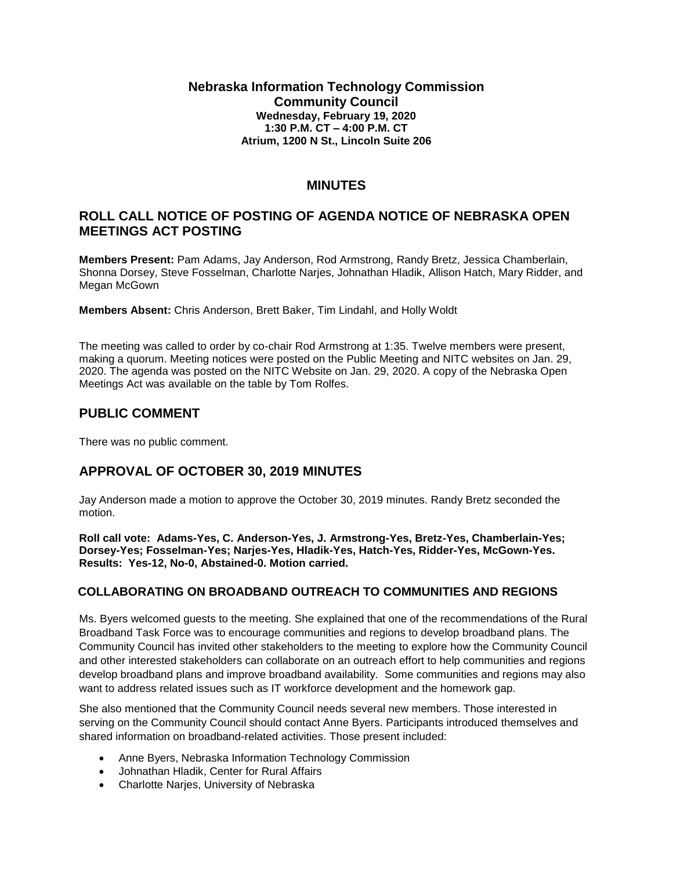### **Nebraska Information Technology Commission Community Council Wednesday, February 19, 2020 1:30 P.M. CT – 4:00 P.M. CT Atrium, 1200 N St., Lincoln Suite 206**

# **MINUTES**

## **ROLL CALL NOTICE OF POSTING OF AGENDA NOTICE OF NEBRASKA OPEN MEETINGS ACT POSTING**

**Members Present:** Pam Adams, Jay Anderson, Rod Armstrong, Randy Bretz, Jessica Chamberlain, Shonna Dorsey, Steve Fosselman, Charlotte Narjes, Johnathan Hladik, Allison Hatch, Mary Ridder, and Megan McGown

**Members Absent:** Chris Anderson, Brett Baker, Tim Lindahl, and Holly Woldt

The meeting was called to order by co-chair Rod Armstrong at 1:35. Twelve members were present, making a quorum. Meeting notices were posted on the Public Meeting and NITC websites on Jan. 29, 2020. The agenda was posted on the NITC Website on Jan. 29, 2020. A copy of the Nebraska Open Meetings Act was available on the table by Tom Rolfes.

## **PUBLIC COMMENT**

There was no public comment.

# **APPROVAL OF OCTOBER 30, 2019 MINUTES**

Jay Anderson made a motion to approve the October 30, 2019 minutes. Randy Bretz seconded the motion.

**Roll call vote: Adams-Yes, C. Anderson-Yes, J. Armstrong-Yes, Bretz-Yes, Chamberlain-Yes; Dorsey-Yes; Fosselman-Yes; Narjes-Yes, Hladik-Yes, Hatch-Yes, Ridder-Yes, McGown-Yes. Results: Yes-12, No-0, Abstained-0. Motion carried.**

## **COLLABORATING ON BROADBAND OUTREACH TO COMMUNITIES AND REGIONS**

Ms. Byers welcomed guests to the meeting. She explained that one of the recommendations of the Rural Broadband Task Force was to encourage communities and regions to develop broadband plans. The Community Council has invited other stakeholders to the meeting to explore how the Community Council and other interested stakeholders can collaborate on an outreach effort to help communities and regions develop broadband plans and improve broadband availability. Some communities and regions may also want to address related issues such as IT workforce development and the homework gap.

She also mentioned that the Community Council needs several new members. Those interested in serving on the Community Council should contact Anne Byers. Participants introduced themselves and shared information on broadband-related activities. Those present included:

- Anne Byers, Nebraska Information Technology Commission
- Johnathan Hladik, Center for Rural Affairs
- Charlotte Narjes, University of Nebraska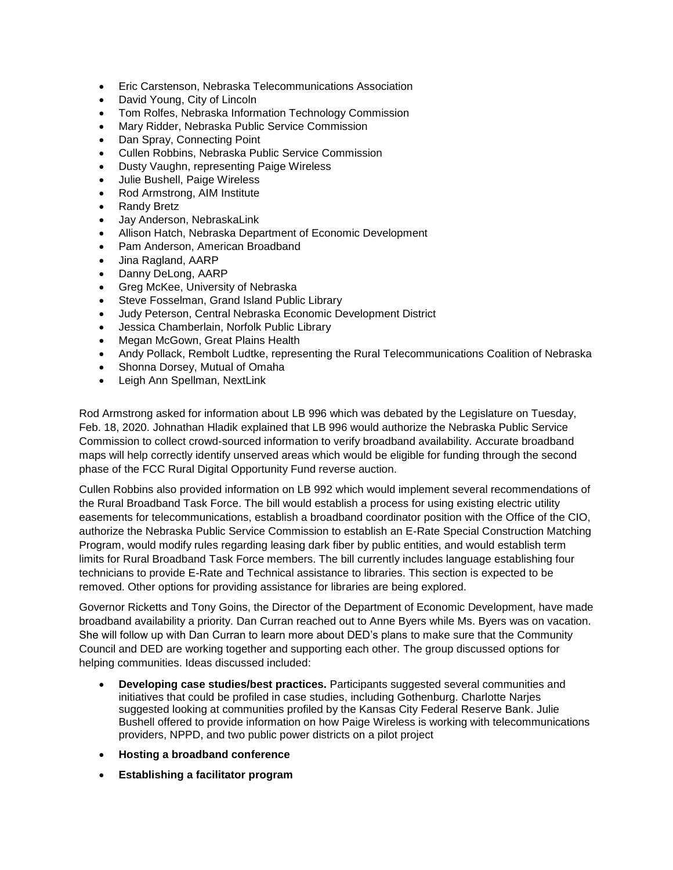- Eric Carstenson, Nebraska Telecommunications Association
- David Young, City of Lincoln
- Tom Rolfes, Nebraska Information Technology Commission
- Mary Ridder, Nebraska Public Service Commission
- Dan Spray, Connecting Point
- Cullen Robbins, Nebraska Public Service Commission
- Dusty Vaughn, representing Paige Wireless
- Julie Bushell, Paige Wireless
- Rod Armstrong, AIM Institute
- Randy Bretz
- Jay Anderson, NebraskaLink
- Allison Hatch, Nebraska Department of Economic Development
- Pam Anderson, American Broadband
- Jina Ragland, AARP
- Danny DeLong, AARP
- Greg McKee, University of Nebraska
- Steve Fosselman, Grand Island Public Library
- Judy Peterson, Central Nebraska Economic Development District
- Jessica Chamberlain, Norfolk Public Library
- Megan McGown, Great Plains Health
- Andy Pollack, Rembolt Ludtke, representing the Rural Telecommunications Coalition of Nebraska
- Shonna Dorsey, Mutual of Omaha
- Leigh Ann Spellman, NextLink

Rod Armstrong asked for information about LB 996 which was debated by the Legislature on Tuesday, Feb. 18, 2020. Johnathan Hladik explained that LB 996 would authorize the Nebraska Public Service Commission to collect crowd-sourced information to verify broadband availability. Accurate broadband maps will help correctly identify unserved areas which would be eligible for funding through the second phase of the FCC Rural Digital Opportunity Fund reverse auction.

Cullen Robbins also provided information on LB 992 which would implement several recommendations of the Rural Broadband Task Force. The bill would establish a process for using existing electric utility easements for telecommunications, establish a broadband coordinator position with the Office of the CIO, authorize the Nebraska Public Service Commission to establish an E-Rate Special Construction Matching Program, would modify rules regarding leasing dark fiber by public entities, and would establish term limits for Rural Broadband Task Force members. The bill currently includes language establishing four technicians to provide E-Rate and Technical assistance to libraries. This section is expected to be removed. Other options for providing assistance for libraries are being explored.

Governor Ricketts and Tony Goins, the Director of the Department of Economic Development, have made broadband availability a priority. Dan Curran reached out to Anne Byers while Ms. Byers was on vacation. She will follow up with Dan Curran to learn more about DED's plans to make sure that the Community Council and DED are working together and supporting each other. The group discussed options for helping communities. Ideas discussed included:

- **Developing case studies/best practices.** Participants suggested several communities and initiatives that could be profiled in case studies, including Gothenburg. Charlotte Narjes suggested looking at communities profiled by the Kansas City Federal Reserve Bank. Julie Bushell offered to provide information on how Paige Wireless is working with telecommunications providers, NPPD, and two public power districts on a pilot project
- **Hosting a broadband conference**
- **Establishing a facilitator program**